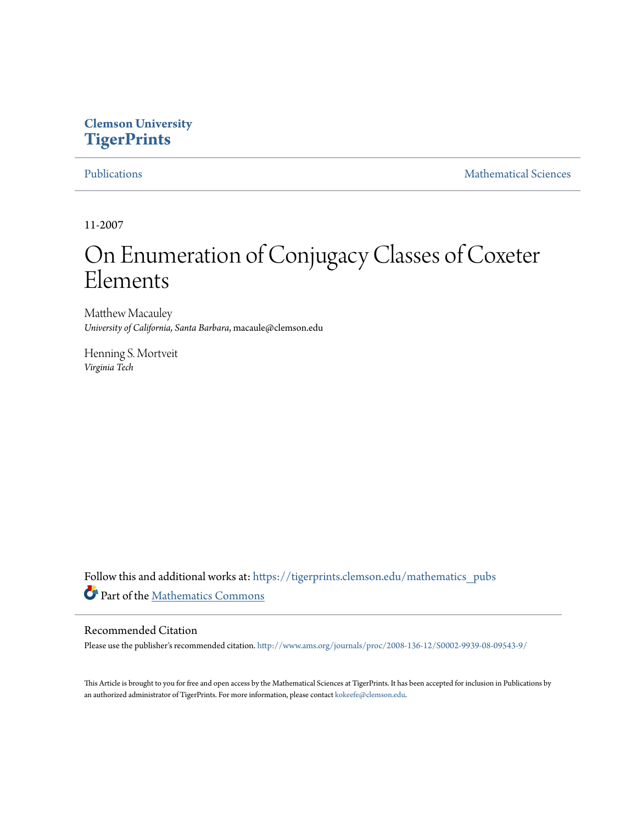# **Clemson University [TigerPrints](https://tigerprints.clemson.edu?utm_source=tigerprints.clemson.edu%2Fmathematics_pubs%2F7&utm_medium=PDF&utm_campaign=PDFCoverPages)**

[Publications](https://tigerprints.clemson.edu/mathematics_pubs?utm_source=tigerprints.clemson.edu%2Fmathematics_pubs%2F7&utm_medium=PDF&utm_campaign=PDFCoverPages) [Mathematical Sciences](https://tigerprints.clemson.edu/mathematics?utm_source=tigerprints.clemson.edu%2Fmathematics_pubs%2F7&utm_medium=PDF&utm_campaign=PDFCoverPages)

11-2007

# On Enumeration of Conjugacy Classes of Coxeter Elements

Matthew Macauley *University of California, Santa Barbara*, macaule@clemson.edu

Henning S. Mortveit *Virginia Tech*

Follow this and additional works at: [https://tigerprints.clemson.edu/mathematics\\_pubs](https://tigerprints.clemson.edu/mathematics_pubs?utm_source=tigerprints.clemson.edu%2Fmathematics_pubs%2F7&utm_medium=PDF&utm_campaign=PDFCoverPages) Part of the [Mathematics Commons](http://network.bepress.com/hgg/discipline/174?utm_source=tigerprints.clemson.edu%2Fmathematics_pubs%2F7&utm_medium=PDF&utm_campaign=PDFCoverPages)

### Recommended Citation

Please use the publisher's recommended citation. <http://www.ams.org/journals/proc/2008-136-12/S0002-9939-08-09543-9/>

This Article is brought to you for free and open access by the Mathematical Sciences at TigerPrints. It has been accepted for inclusion in Publications by an authorized administrator of TigerPrints. For more information, please contact [kokeefe@clemson.edu.](mailto:kokeefe@clemson.edu)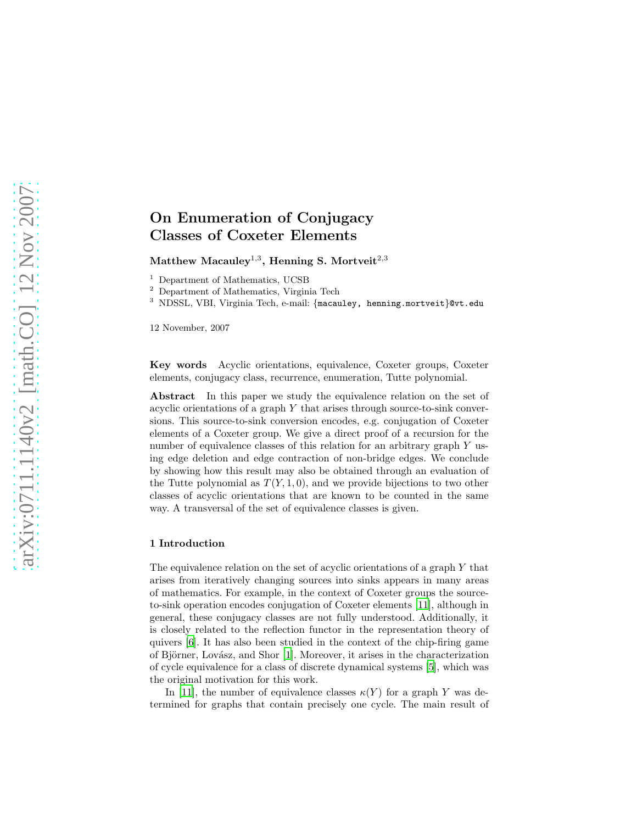## On Enumeration of Conjugacy Classes of Coxeter Elements

Matthew Macauley $^{1,3},$  Henning S. Mortveit $^{2,3}$ 

<sup>1</sup> Department of Mathematics, UCSB

<sup>2</sup> Department of Mathematics, Virginia Tech

<sup>3</sup> NDSSL, VBI, Virginia Tech, e-mail: {macauley, henning.mortveit}@vt.edu

12 November, 2007

Key words Acyclic orientations, equivalence, Coxeter groups, Coxeter elements, conjugacy class, recurrence, enumeration, Tutte polynomial.

Abstract In this paper we study the equivalence relation on the set of acyclic orientations of a graph  $Y$  that arises through source-to-sink conversions. This source-to-sink conversion encodes, e.g. conjugation of Coxeter elements of a Coxeter group. We give a direct proof of a recursion for the number of equivalence classes of this relation for an arbitrary graph Y using edge deletion and edge contraction of non-bridge edges. We conclude by showing how this result may also be obtained through an evaluation of the Tutte polynomial as  $T(Y, 1, 0)$ , and we provide bijections to two other classes of acyclic orientations that are known to be counted in the same way. A transversal of the set of equivalence classes is given.

#### 1 Introduction

The equivalence relation on the set of acyclic orientations of a graph Y that arises from iteratively changing sources into sinks appears in many areas of mathematics. For example, in the context of Coxeter groups the sourceto-sink operation encodes conjugation of Coxeter elements [\[11\]](#page-9-0), although in general, these conjugacy classes are not fully understood. Additionally, it is closely related to the reflection functor in the representation theory of quivers [\[6](#page-9-1)]. It has also been studied in the context of the chip-firing game of Björner, Lovász, and Shor  $[1]$ . Moreover, it arises in the characterization of cycle equivalence for a class of discrete dynamical systems [\[5](#page-9-3)], which was the original motivation for this work.

In [\[11\]](#page-9-0), the number of equivalence classes  $\kappa(Y)$  for a graph Y was determined for graphs that contain precisely one cycle. The main result of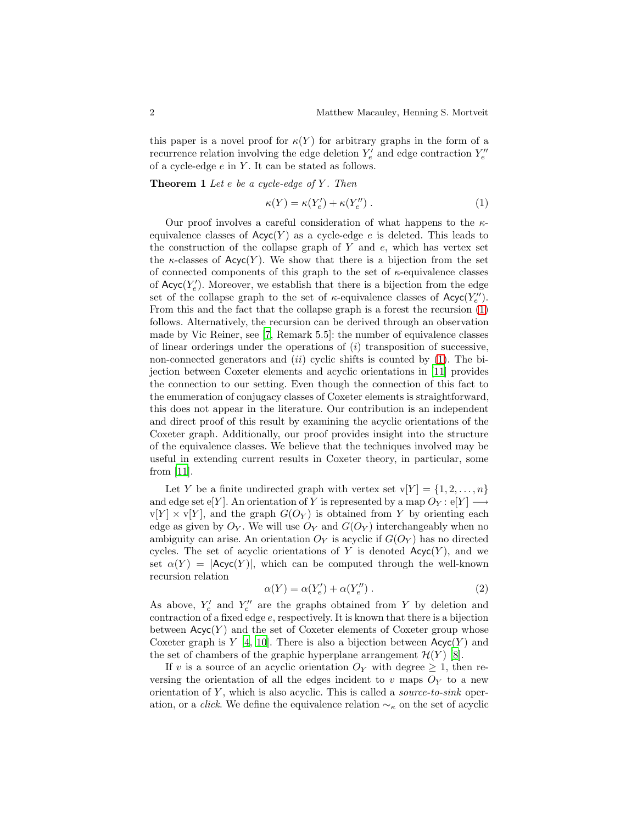this paper is a novel proof for  $\kappa(Y)$  for arbitrary graphs in the form of a recurrence relation involving the edge deletion  $Y_e'$  and edge contraction  $Y_e''$ of a cycle-edge  $e$  in  $Y$ . It can be stated as follows.

<span id="page-2-1"></span>**Theorem 1** Let  $e$  be a cycle-edge of  $Y$ . Then

<span id="page-2-0"></span>
$$
\kappa(Y) = \kappa(Y'_e) + \kappa(Y''_e) \,. \tag{1}
$$

Our proof involves a careful consideration of what happens to the  $\kappa$ equivalence classes of  $Acyc(Y)$  as a cycle-edge e is deleted. This leads to the construction of the collapse graph of  $Y$  and  $e$ , which has vertex set the  $\kappa$ -classes of Acyc(Y). We show that there is a bijection from the set of connected components of this graph to the set of  $\kappa$ -equivalence classes of  $Acyc(Y'_e)$ . Moreover, we establish that there is a bijection from the edge set of the collapse graph to the set of  $\kappa$ -equivalence classes of  $Acyc(Y_e'')$ . From this and the fact that the collapse graph is a forest the recursion [\(1\)](#page-2-0) follows. Alternatively, the recursion can be derived through an observation made by Vic Reiner, see [\[7,](#page-9-4) Remark 5.5]: the number of equivalence classes of linear orderings under the operations of  $(i)$  transposition of successive, non-connected generators and  $(ii)$  cyclic shifts is counted by [\(1\)](#page-2-0). The bijection between Coxeter elements and acyclic orientations in [\[11](#page-9-0)] provides the connection to our setting. Even though the connection of this fact to the enumeration of conjugacy classes of Coxeter elements is straightforward, this does not appear in the literature. Our contribution is an independent and direct proof of this result by examining the acyclic orientations of the Coxeter graph. Additionally, our proof provides insight into the structure of the equivalence classes. We believe that the techniques involved may be useful in extending current results in Coxeter theory, in particular, some from [\[11](#page-9-0)].

Let Y be a finite undirected graph with vertex set  $v[Y] = \{1, 2, ..., n\}$ and edge set e[Y]. An orientation of Y is represented by a map  $O_Y$ : e[Y]  $\longrightarrow$  $v[Y] \times v[Y]$ , and the graph  $G(O_Y)$  is obtained from Y by orienting each edge as given by  $O_Y$ . We will use  $O_Y$  and  $G(O_Y)$  interchangeably when no ambiguity can arise. An orientation  $O_Y$  is acyclic if  $G(O_Y)$  has no directed cycles. The set of acyclic orientations of Y is denoted  $Acyc(Y)$ , and we set  $\alpha(Y) = |A\text{cyc}(Y)|$ , which can be computed through the well-known recursion relation

$$
\alpha(Y) = \alpha(Y'_e) + \alpha(Y''_e) \tag{2}
$$

As above,  $Y'_e$  and  $Y''_e$  are the graphs obtained from Y by deletion and contraction of a fixed edge  $e$ , respectively. It is known that there is a bijection between  $Acyc(Y)$  and the set of Coxeter elements of Coxeter group whose Coxeter graph is  $Y$  [\[4](#page-9-5), [10\]](#page-9-6). There is also a bijection between  $Acyc(Y)$  and the set of chambers of the graphic hyperplane arrangement  $\mathcal{H}(Y)$  [\[8\]](#page-9-7).

If v is a source of an acyclic orientation  $O_Y$  with degree  $\geq 1$ , then reversing the orientation of all the edges incident to v maps  $O<sub>Y</sub>$  to a new orientation of  $Y$ , which is also acyclic. This is called a *source-to-sink* operation, or a *click*. We define the equivalence relation  $\sim_{\kappa}$  on the set of acyclic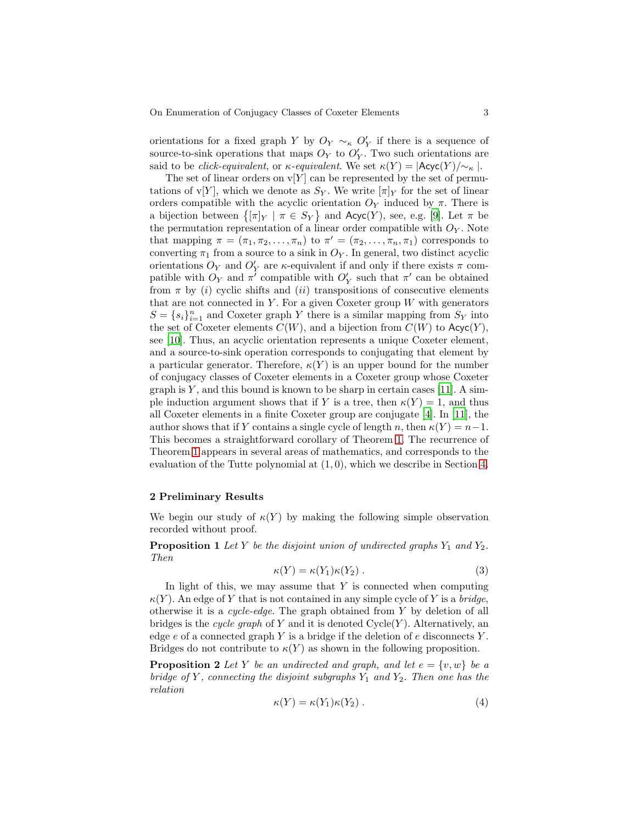orientations for a fixed graph Y by  $O_Y \sim_{\kappa} O'_Y$  if there is a sequence of source-to-sink operations that maps  $O_Y$  to  $O'_Y$ . Two such orientations are said to be *click-equivalent*, or  $\kappa$ -equivalent. We set  $\kappa(Y) = |\text{Acyc}(Y)/\sim_{\kappa}|$ .

The set of linear orders on  $v[Y]$  can be represented by the set of permutations of v[Y], which we denote as  $S_Y$ . We write  $[\pi]_Y$  for the set of linear orders compatible with the acyclic orientation  $O<sub>Y</sub>$  induced by  $\pi$ . There is a bijection between  $\{[\pi]_Y \mid \pi \in S_Y\}$  and  $\text{Acyc}(Y)$ , see, e.g. [\[9](#page-9-8)]. Let  $\pi$  be the permutation representation of a linear order compatible with  $O<sub>Y</sub>$ . Note that mapping  $\pi = (\pi_1, \pi_2, \ldots, \pi_n)$  to  $\pi' = (\pi_2, \ldots, \pi_n, \pi_1)$  corresponds to converting  $\pi_1$  from a source to a sink in  $O_Y$ . In general, two distinct acyclic orientations  $O_Y$  and  $O'_Y$  are  $\kappa$ -equivalent if and only if there exists  $\pi$  compatible with  $O_Y$  and  $\pi'$  compatible with  $O'_Y$  such that  $\pi'$  can be obtained from  $\pi$  by (i) cyclic shifts and (ii) transpositions of consecutive elements that are not connected in  $Y$ . For a given Coxeter group  $W$  with generators  $S = \{s_i\}_{i=1}^n$  and Coxeter graph Y there is a similar mapping from  $S_Y$  into the set of Coxeter elements  $C(W)$ , and a bijection from  $C(W)$  to  $Acyc(Y)$ , see [\[10](#page-9-6)]. Thus, an acyclic orientation represents a unique Coxeter element, and a source-to-sink operation corresponds to conjugating that element by a particular generator. Therefore,  $\kappa(Y)$  is an upper bound for the number of conjugacy classes of Coxeter elements in a Coxeter group whose Coxeter graph is  $Y$ , and this bound is known to be sharp in certain cases [\[11](#page-9-0)]. A simple induction argument shows that if Y is a tree, then  $\kappa(Y) = 1$ , and thus all Coxeter elements in a finite Coxeter group are conjugate [\[4\]](#page-9-5). In [\[11](#page-9-0)], the author shows that if Y contains a single cycle of length n, then  $\kappa(Y) = n-1$ . This becomes a straightforward corollary of Theorem [1.](#page-2-1) The recurrence of Theorem [1](#page-2-1) appears in several areas of mathematics, and corresponds to the evaluation of the Tutte polynomial at  $(1, 0)$ , which we describe in Section [4.](#page-7-0)

#### 2 Preliminary Results

<span id="page-3-1"></span>We begin our study of  $\kappa(Y)$  by making the following simple observation recorded without proof.

**Proposition 1** Let Y be the disjoint union of undirected graphs  $Y_1$  and  $Y_2$ . Then

$$
\kappa(Y) = \kappa(Y_1)\kappa(Y_2) \tag{3}
$$

In light of this, we may assume that  $Y$  is connected when computing  $\kappa(Y)$ . An edge of Y that is not contained in any simple cycle of Y is a bridge, otherwise it is a cycle-edge. The graph obtained from Y by deletion of all bridges is the cycle graph of Y and it is denoted  $Cycle(Y)$ . Alternatively, an edge  $e$  of a connected graph Y is a bridge if the deletion of  $e$  disconnects Y. Bridges do not contribute to  $\kappa(Y)$  as shown in the following proposition.

<span id="page-3-2"></span>**Proposition 2** Let Y be an undirected and graph, and let  $e = \{v, w\}$  be a bridge of Y, connecting the disjoint subgraphs  $Y_1$  and  $Y_2$ . Then one has the relation

<span id="page-3-0"></span>
$$
\kappa(Y) = \kappa(Y_1)\kappa(Y_2) \tag{4}
$$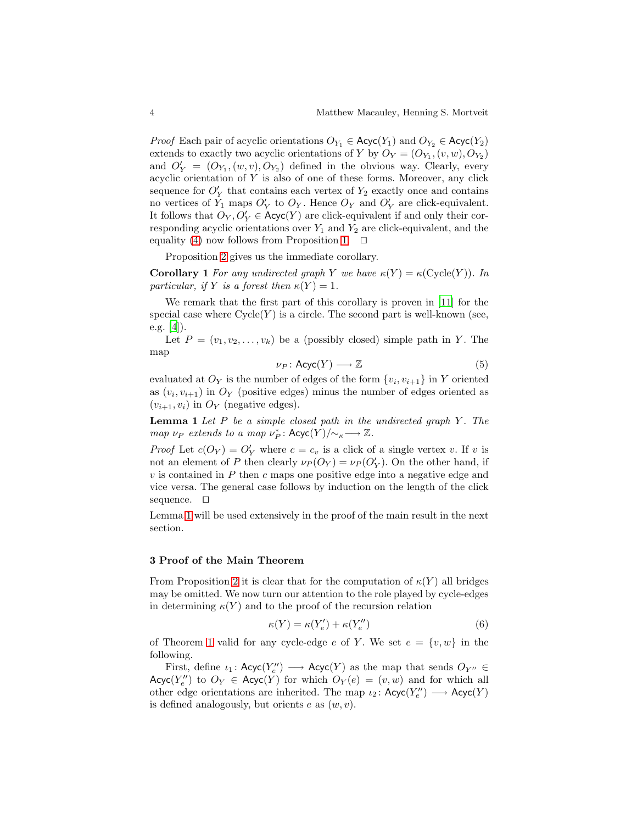*Proof* Each pair of acyclic orientations  $O_{Y_1} \in \text{Acyc}(Y_1)$  and  $O_{Y_2} \in \text{Acyc}(Y_2)$ extends to exactly two acyclic orientations of Y by  $O_Y = (O_{Y_1}, (v, w), O_{Y_2})$ and  $O'_Y = (O_{Y_1}, (w, v), O_{Y_2})$  defined in the obvious way. Clearly, every acyclic orientation of  $Y$  is also of one of these forms. Moreover, any click sequence for  $O'_{Y}$  that contains each vertex of  $Y_2$  exactly once and contains no vertices of  $Y_1$  maps  $O'_Y$  to  $O_Y$ . Hence  $O_Y$  and  $O'_Y$  are click-equivalent. It follows that  $O_Y, O'_Y \in \text{Acyc}(Y)$  are click-equivalent if and only their corresponding acyclic orientations over  $Y_1$  and  $Y_2$  are click-equivalent, and the equality [\(4\)](#page-3-0) now follows from Proposition [1.](#page-3-1) ⊓⊔

Proposition [2](#page-3-2) gives us the immediate corollary.

**Corollary 1** For any undirected graph Y we have  $\kappa(Y) = \kappa(\text{Cycle}(Y))$ . In particular, if Y is a forest then  $\kappa(Y) = 1$ .

We remark that the first part of this corollary is proven in [\[11\]](#page-9-0) for the special case where  $Cycle(Y)$  is a circle. The second part is well-known (see, e.g.  $[4]$ ).

Let  $P = (v_1, v_2, \ldots, v_k)$  be a (possibly closed) simple path in Y. The map

<span id="page-4-0"></span>
$$
\nu_P: \text{Acyc}(Y) \longrightarrow \mathbb{Z} \tag{5}
$$

evaluated at  $O_Y$  is the number of edges of the form  $\{v_i, v_{i+1}\}$  in Y oriented as  $(v_i, v_{i+1})$  in  $O_Y$  (positive edges) minus the number of edges oriented as  $(v_{i+1}, v_i)$  in  $O_Y$  (negative edges).

**Lemma 1** Let  $P$  be a simple closed path in the undirected graph  $Y$ . The map  $\nu_P$  extends to a map  $\nu_P^*$ : Acyc $(Y)/\!\!\sim_{\kappa}\longrightarrow \mathbb{Z}$ .

*Proof* Let  $c(O_Y) = O'_Y$  where  $c = c_v$  is a click of a single vertex v. If v is not an element of P then clearly  $\nu_P(O_Y) = \nu_P(O'_Y)$ . On the other hand, if  $v$  is contained in  $P$  then  $c$  maps one positive edge into a negative edge and vice versa. The general case follows by induction on the length of the click sequence. ⊓⊔

Lemma [1](#page-4-0) will be used extensively in the proof of the main result in the next section.

#### 3 Proof of the Main Theorem

From Proposition [2](#page-3-2) it is clear that for the computation of  $\kappa(Y)$  all bridges may be omitted. We now turn our attention to the role played by cycle-edges in determining  $\kappa(Y)$  and to the proof of the recursion relation

$$
\kappa(Y) = \kappa(Y_e') + \kappa(Y_e'')
$$
\n(6)

of Theorem [1](#page-2-1) valid for any cycle-edge e of Y. We set  $e = \{v, w\}$  in the following.

First, define  $\iota_1$ :  $\mathsf{Acyc}(Y''_e) \longrightarrow \mathsf{Acyc}(Y)$  as the map that sends  $O_{Y''} \in$ Acyc $(Y''_e)$  to  $O_Y \in \text{Acyc}(Y)$  for which  $O_Y(e) = (v, w)$  and for which all other edge orientations are inherited. The map  $\iota_2$ :  $\operatorname{Acyc}(Y''_e) \longrightarrow \operatorname{Acyc}(Y)$ is defined analogously, but orients  $e$  as  $(w, v)$ .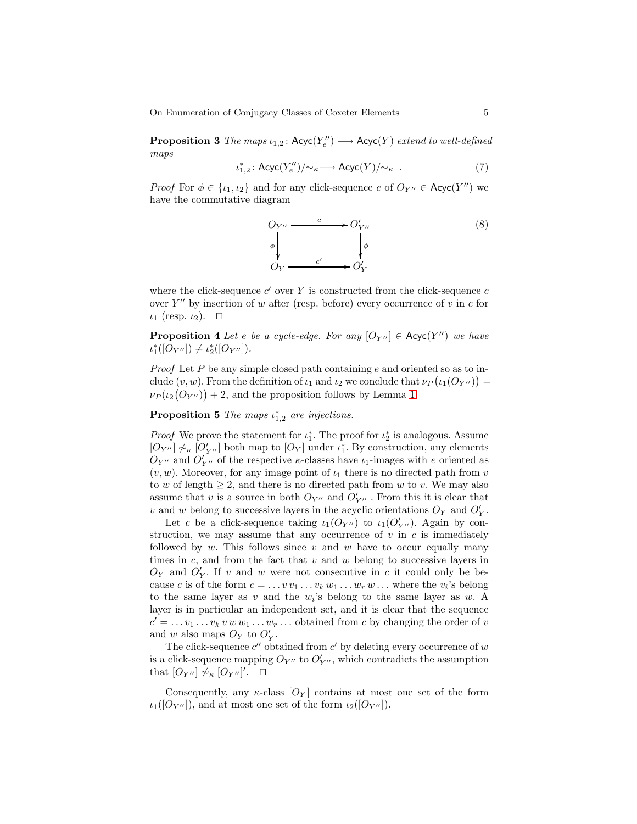On Enumeration of Conjugacy Classes of Coxeter Elements 5

**Proposition 3** The maps  $\iota_{1,2}$ :  $Acyc(Y''_e) \longrightarrow Acyc(Y)$  extend to well-defined maps

$$
\iota_{1,2}^* \colon \mathsf{Acyc}(Y''_e)/{\sim_\kappa} \longrightarrow \mathsf{Acyc}(Y)/{\sim_\kappa} \quad . \eqno(7)
$$

*Proof* For  $\phi \in \{t_1, t_2\}$  and for any click-sequence c of  $O_{Y''} \in \text{Acyc}(Y'')$  we have the commutative diagram

$$
O_{Y''} \xrightarrow{c} O'_{Y''}
$$
  
\n
$$
\phi \downarrow \qquad \qquad \downarrow \phi
$$
  
\n
$$
O_Y \xrightarrow{c'} O'_Y
$$
  
\n
$$
(8)
$$

where the click-sequence  $c'$  over Y is constructed from the click-sequence  $c$ over  $Y''$  by insertion of w after (resp. before) every occurrence of v in c for  $\iota_1$  (resp.  $\iota_2$ ). □

<span id="page-5-0"></span>**Proposition 4** Let e be a cycle-edge. For any  $[O_{Y''}] \in \text{Acyc}(Y'')$  we have  $\iota_1^*([O_{Y''}]) \neq \iota_2^*([O_{Y''}]).$ 

*Proof* Let  $P$  be any simple closed path containing  $e$  and oriented so as to include  $(v, w)$ . From the definition of  $\iota_1$  and  $\iota_2$  we conclude that  $\nu_P(\iota_1(O_{Y''})) =$  $\nu_P(\iota_2(O_{Y''}) + 2$ , and the proposition follows by Lemma [1.](#page-4-0)

**Proposition 5** The maps  $\iota_{1,2}^*$  are injections.

*Proof* We prove the statement for  $\iota_1^*$ . The proof for  $\iota_2^*$  is analogous. Assume  $[O_{Y''}] \not\sim_{\kappa} [O'_{Y''}]$  both map to  $[O_Y]$  under  $\iota_1^*$ . By construction, any elements  $O_{Y''}$  and  $O'_{Y''}$  of the respective *κ*-classes have  $i_1$ -images with *e* oriented as  $(v, w)$ . Moreover, for any image point of  $\iota_1$  there is no directed path from v to w of length  $\geq 2$ , and there is no directed path from w to v. We may also assume that v is a source in both  $O_{Y''}$  and  $O'_{Y''}$ . From this it is clear that v and w belong to successive layers in the acyclic orientations  $O_Y$  and  $O'_Y$ .

Let c be a click-sequence taking  $\iota_1(O_{Y''})$  to  $\iota_1(O'_{Y''})$ . Again by construction, we may assume that any occurrence of  $v$  in  $c$  is immediately followed by  $w$ . This follows since  $v$  and  $w$  have to occur equally many times in  $c$ , and from the fact that  $v$  and  $w$  belong to successive layers in  $O_Y$  and  $O'_Y$ . If v and w were not consecutive in c it could only be because c is of the form  $c = \ldots v v_1 \ldots v_k w_1 \ldots w_r w \ldots$  where the  $v_i$ 's belong to the same layer as  $v$  and the  $w_i$ 's belong to the same layer as  $w$ . A layer is in particular an independent set, and it is clear that the sequence  $c' = \ldots v_1 \ldots v_k v w w_1 \ldots v_r \ldots$  obtained from c by changing the order of v and w also maps  $O_Y$  to  $O'_Y$ .

The click-sequence  $c''$  obtained from  $c'$  by deleting every occurrence of w is a click-sequence mapping  $O_{Y''}$  to  $O'_{Y''}$ , which contradicts the assumption that  $[O_{Y''}] \not\sim_{\kappa} [O_{Y''}]'.$ 

<span id="page-5-1"></span>Consequently, any  $\kappa$ -class  $[O_Y]$  contains at most one set of the form  $\iota_1([O_{Y''}])$ , and at most one set of the form  $\iota_2([O_{Y''}])$ .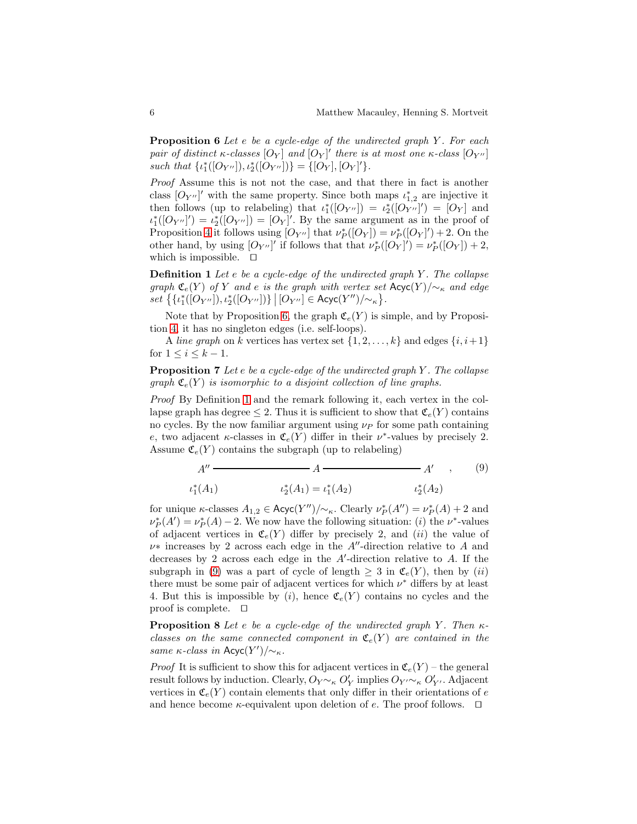**Proposition 6** Let  $e$  be a cycle-edge of the undirected graph  $Y$ . For each pair of distinct  $\kappa$ -classes  $[O_Y]$  and  $[O_Y]'$  there is at most one  $\kappa$ -class  $[O_{Y''}]$ such that  $\{ \iota_1^*([O_{Y''}]), \iota_2^*([O_{Y''}]) \} = \{ [O_Y], [O_Y]'\}.$ 

Proof Assume this is not not the case, and that there in fact is another class  $[O_{Y''}]'$  with the same property. Since both maps  $\iota_{1,2}^*$  are injective it then follows (up to relabeling) that  $\iota_1^*([\mathcal{O}_{Y''}]) = \iota_2^*([\mathcal{O}_{Y''}]') = [\mathcal{O}_Y]$  and  $\iota_1^*([O_{Y''}]') = \iota_2^*([O_{Y''}]) = [O_Y]'.$  By the same argument as in the proof of Proposition [4](#page-5-0) it follows using  $[O_{Y''}]$  that  $\nu^*_{P}([O_Y]) = \nu^*_{P}([O_Y]) + 2$ . On the other hand, by using  $[O_{Y''}]'$  if follows that that  $\nu^*_{P}([O_Y]') = \nu^*_{P}([O_Y]) + 2$ , which is impossible. ⊓⊔

<span id="page-6-0"></span>**Definition 1** Let  $e$  be a cycle-edge of the undirected graph Y. The collapse graph  $\mathfrak{C}_e(Y)$  of Y and e is the graph with vertex set  $\mathsf{Acyc}(Y)/\sim_\kappa$  and edge  $set \{ \{i_1^*([O_{Y''}]), i_2^*([O_{Y''}])\} | [O_{Y''}] \in \text{Acyc}(Y'')/\sim_{\kappa} \}.$ 

Note that by Proposition [6,](#page-5-1) the graph  $\mathfrak{C}_e(Y)$  is simple, and by Proposition [4,](#page-5-0) it has no singleton edges (i.e. self-loops).

A line graph on k vertices has vertex set  $\{1, 2, \ldots, k\}$  and edges  $\{i, i+1\}$ for  $1 \leq i \leq k-1$ .

**Proposition 7** Let e be a cycle-edge of the undirected graph  $Y$ . The collapse graph  $\mathfrak{C}_e(Y)$  is isomorphic to a disjoint collection of line graphs.

Proof By Definition [1](#page-6-0) and the remark following it, each vertex in the collapse graph has degree  $\leq 2$ . Thus it is sufficient to show that  $\mathfrak{C}_e(Y)$  contains no cycles. By the now familiar argument using  $\nu_P$  for some path containing e, two adjacent  $\kappa$ -classes in  $\mathfrak{C}_e(Y)$  differ in their  $\nu^*$ -values by precisely 2. Assume  $\mathfrak{C}_e(Y)$  contains the subgraph (up to relabeling)

<span id="page-6-1"></span>
$$
A'' \t\t A'' \t\t A \t\t A''
$$
  
\n
$$
\iota_1^*(A_1) \t\t \iota_2^*(A_1) = \iota_1^*(A_2) \t\t \iota_2^*(A_2)
$$
 (9)

for unique *κ*-classes  $A_{1,2} \in \text{Acyc}(Y'')/\sim_{\kappa}$ . Clearly  $\nu^*_{P}(A'') = \nu^*_{P}(A) + 2$  and  $\nu_P^*(A') = \nu_P^*(A) - 2$ . We now have the following situation: (i) the  $\nu^*$ -values of adjacent vertices in  $\mathfrak{C}_e(Y)$  differ by precisely 2, and *(ii)* the value of  $\nu*$  increases by 2 across each edge in the A''-direction relative to A and decreases by 2 across each edge in the  $A'$ -direction relative to  $A$ . If the subgraph in [\(9\)](#page-6-1) was a part of cycle of length  $\geq 3$  in  $\mathfrak{C}_e(Y)$ , then by (ii) there must be some pair of adjacent vertices for which  $\nu^*$  differs by at least 4. But this is impossible by  $(i)$ , hence  $\mathfrak{C}_e(Y)$  contains no cycles and the proof is complete. ⊓⊔

<span id="page-6-2"></span>**Proposition 8** Let e be a cycle-edge of the undirected graph Y. Then  $\kappa$ classes on the same connected component in  $\mathfrak{C}_e(Y)$  are contained in the same  $\kappa$ -class in Acyc $(Y')/\sim_{\kappa}$ .

*Proof* It is sufficient to show this for adjacent vertices in  $\mathfrak{C}_e(Y)$  – the general result follows by induction. Clearly,  $O_Y \sim_k O'_Y$  implies  $O_{Y'} \sim_k O'_{Y'}$ . Adjacent vertices in  $\mathfrak{C}_e(Y)$  contain elements that only differ in their orientations of e and hence become  $\kappa$ -equivalent upon deletion of e. The proof follows.  $\Box$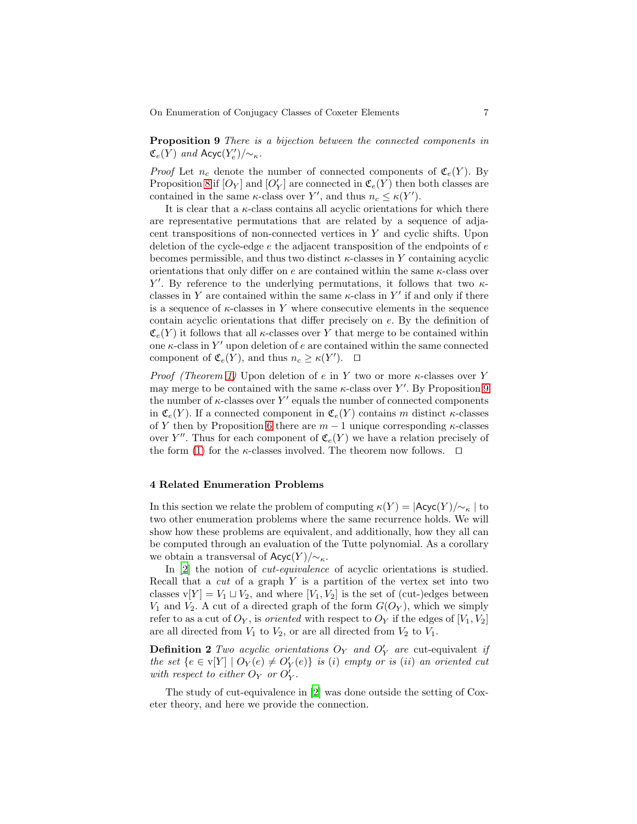<span id="page-7-1"></span>**Proposition 9** There is a bijection between the connected components in  $\mathfrak{C}_e(Y)$  and  $\mathsf{Acyc}(Y'_e)/\!\!\sim_{\kappa}$ .

*Proof* Let  $n_c$  denote the number of connected components of  $\mathfrak{C}_e(Y)$ . By Proposition [8](#page-6-2) if  $[O_Y]$  and  $[O'_Y]$  are connected in  $\mathfrak{C}_e(Y)$  then both classes are contained in the same  $\kappa$ -class over Y', and thus  $n_c \leq \kappa(Y')$ .

It is clear that a  $\kappa$ -class contains all acyclic orientations for which there are representative permutations that are related by a sequence of adjacent transpositions of non-connected vertices in  $Y$  and cyclic shifts. Upon deletion of the cycle-edge  $e$  the adjacent transposition of the endpoints of  $e$ becomes permissible, and thus two distinct  $\kappa$ -classes in Y containing acyclic orientations that only differ on e are contained within the same  $\kappa$ -class over Y'. By reference to the underlying permutations, it follows that two  $\kappa$ classes in Y are contained within the same  $\kappa$ -class in Y' if and only if there is a sequence of  $\kappa$ -classes in Y where consecutive elements in the sequence contain acyclic orientations that differ precisely on e. By the definition of  $\mathfrak{C}_{e}(Y)$  it follows that all  $\kappa$ -classes over Y that merge to be contained within one  $\kappa$ -class in Y' upon deletion of  $e$  are contained within the same connected component of  $\mathfrak{C}_e(Y)$ , and thus  $n_c \geq \kappa(Y')$ .  $\Box$ 

*Proof (Theorem [1\)](#page-2-1)* Upon deletion of e in Y two or more  $\kappa$ -classes over Y may merge to be contained with the same  $\kappa$ -class over Y'. By Proposition [9](#page-7-1) the number of  $\kappa$ -classes over Y' equals the number of connected components in  $\mathfrak{C}_e(Y)$ . If a connected component in  $\mathfrak{C}_e(Y)$  contains m distinct  $\kappa$ -classes of Y then by Proposition [6](#page-5-1) there are  $m-1$  unique corresponding  $\kappa$ -classes over Y''. Thus for each component of  $\mathfrak{C}_e(Y)$  we have a relation precisely of the form [\(1\)](#page-2-0) for the  $\kappa$ -classes involved. The theorem now follows.  $\Box$ 

#### <span id="page-7-0"></span>4 Related Enumeration Problems

In this section we relate the problem of computing  $\kappa(Y) = |{\sf Acyc}(Y)/{\sim}^k|$  to two other enumeration problems where the same recurrence holds. We will show how these problems are equivalent, and additionally, how they all can be computed through an evaluation of the Tutte polynomial. As a corollary we obtain a transversal of  $Acyc(Y)/\sim_{\kappa}$ .

In [\[2](#page-9-9)] the notion of *cut-equivalence* of acyclic orientations is studied. Recall that a  $cut$  of a graph Y is a partition of the vertex set into two classes v[Y] =  $V_1 \sqcup V_2$ , and where [V<sub>1</sub>, V<sub>2</sub>] is the set of (cut-)edges between  $V_1$  and  $V_2$ . A cut of a directed graph of the form  $G(O_Y)$ , which we simply refer to as a cut of  $O_Y$ , is *oriented* with respect to  $O_Y$  if the edges of  $[V_1, V_2]$ are all directed from  $V_1$  to  $V_2$ , or are all directed from  $V_2$  to  $V_1$ .

**Definition 2** Two acyclic orientations  $O_Y$  and  $O'_Y$  are cut-equivalent if the set  $\{e \in v[Y] \mid O_Y(e) \neq O'_Y(e)\}$  is (i) empty or is (ii) an oriented cut with respect to either  $\overrightarrow{O_Y}$  or  $\overrightarrow{O_Y}$ .

The study of cut-equivalence in [\[2](#page-9-9)] was done outside the setting of Coxeter theory, and here we provide the connection.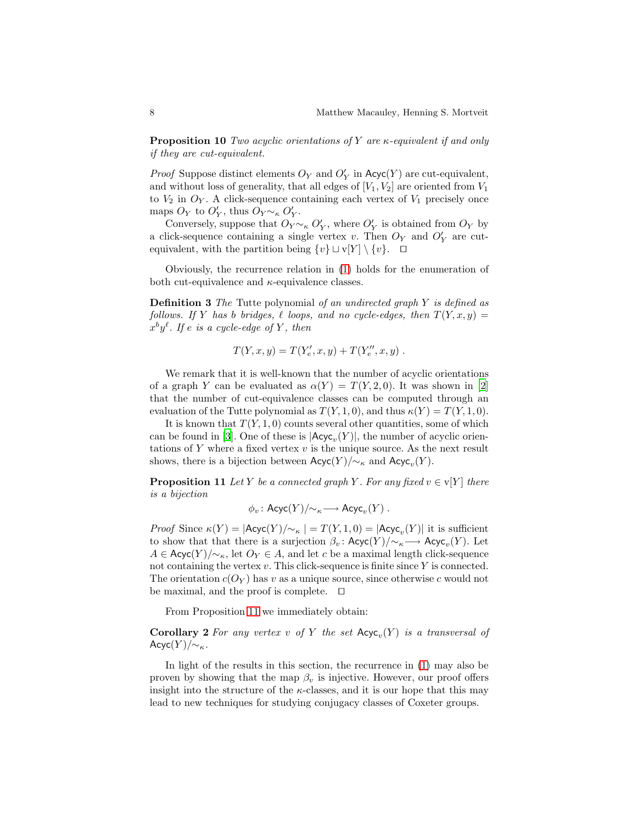**Proposition 10** Two acyclic orientations of Y are  $\kappa$ -equivalent if and only if they are cut-equivalent.

*Proof* Suppose distinct elements  $O_Y$  and  $O'_Y$  in  $Acyc(Y)$  are cut-equivalent, and without loss of generality, that all edges of  $[V_1, V_2]$  are oriented from  $V_1$ to  $V_2$  in  $O_Y$ . A click-sequence containing each vertex of  $V_1$  precisely once maps  $O_Y$  to  $O'_Y$ , thus  $O_Y \sim_{\kappa} O'_Y$ .

Conversely, suppose that  $O_Y' \sim_{\kappa} O_Y'$ , where  $O_Y'$  is obtained from  $O_Y$  by a click-sequence containing a single vertex v. Then  $O_Y$  and  $O'_Y$  are cutequivalent, with the partition being  $\{v\} \sqcup v[Y] \setminus \{v\}.$  □

Obviously, the recurrence relation in [\(1\)](#page-2-0) holds for the enumeration of both cut-equivalence and  $\kappa$ -equivalence classes.

Definition 3 The Tutte polynomial of an undirected graph Y is defined as follows. If Y has b bridges,  $\ell$  loops, and no cycle-edges, then  $T(Y, x, y) =$  $x^by^{\ell}$ . If e is a cycle-edge of Y, then

$$
T(Y, x, y) = T(Y'_e, x, y) + T(Y''_e, x, y) .
$$

We remark that it is well-known that the number of acyclic orientations of a graph Y can be evaluated as  $\alpha(Y) = T(Y, 2, 0)$ . It was shown in [\[2](#page-9-9)] that the number of cut-equivalence classes can be computed through an evaluation of the Tutte polynomial as  $T(Y, 1, 0)$ , and thus  $\kappa(Y) = T(Y, 1, 0)$ .

It is known that  $T(Y, 1, 0)$  counts several other quantities, some of which can be found in [\[3\]](#page-9-10). One of these is  $|Acyc_v(Y)|$ , the number of acyclic orientations of  $Y$  where a fixed vertex  $v$  is the unique source. As the next result shows, there is a bijection between  $\mathsf{Acyc}(Y)/{\sim_{\kappa}}$  and  $\mathsf{Acyc}_v(Y)$ .

<span id="page-8-0"></span>**Proposition 11** Let Y be a connected graph Y. For any fixed  $v \in V[Y]$  there is a bijection

$$
\phi_v \colon \mathsf{Acyc}(Y)/\!\!\sim_{\kappa} \longrightarrow \mathsf{Acyc}_v(Y) \ .
$$

*Proof* Since  $\kappa(Y) = |\text{Acyc}(Y)/\sim_{\kappa}| = T(Y, 1, 0) = |\text{Acyc}_{v}(Y)|$  it is sufficient to show that that there is a surjection  $\beta_v$ : Acyc $(Y)/{\sim_{\kappa}} \longrightarrow$  Acyc<sub>v</sub> $(Y)$ . Let  $A \in \text{Acyc}(Y)/\sim_{\kappa}$ , let  $O_Y \in A$ , and let c be a maximal length click-sequence not containing the vertex  $v$ . This click-sequence is finite since  $Y$  is connected. The orientation  $c(O_Y)$  has v as a unique source, since otherwise c would not be maximal, and the proof is complete. ⊓⊔

From Proposition [11](#page-8-0) we immediately obtain:

**Corollary 2** For any vertex v of Y the set  $\text{Acyc}_v(Y)$  is a transversal of  $Acyc(Y)/\sim_{\kappa}$ .

In light of the results in this section, the recurrence in [\(1\)](#page-2-0) may also be proven by showing that the map  $\beta_v$  is injective. However, our proof offers insight into the structure of the  $\kappa$ -classes, and it is our hope that this may lead to new techniques for studying conjugacy classes of Coxeter groups.